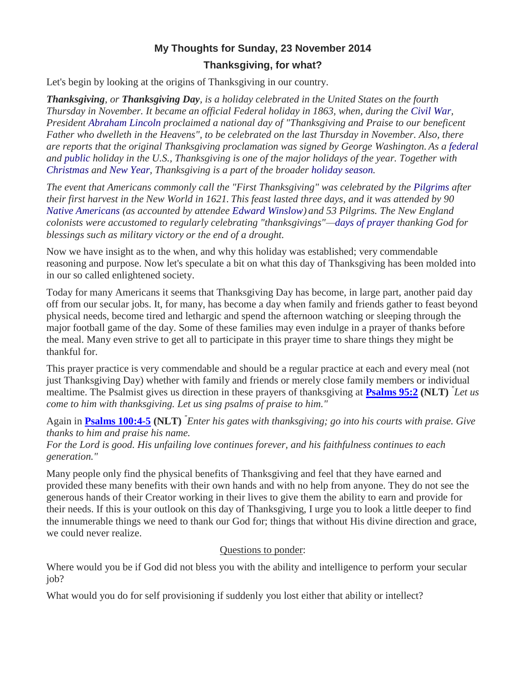## **My Thoughts for Sunday, 23 November 2014**

## **Thanksgiving, for what?**

Let's begin by looking at the origins of Thanksgiving in our country.

*Thanksgiving, or Thanksgiving Day, is a holiday celebrated in the United States on the fourth Thursday in November. It became an official Federal holiday in 1863, when, during the [Civil War,](http://en.wikipedia.org/wiki/American_Civil_War) President [Abraham Lincoln](http://en.wikipedia.org/wiki/Abraham_Lincoln) proclaimed a national day of "Thanksgiving and Praise to our beneficent Father who dwelleth in the Heavens", to be celebrated on the last Thursday in November. Also, there are reports that the original Thanksgiving proclamation was signed by George Washington. As a [federal](http://en.wikipedia.org/wiki/Federal_holidays_in_the_United_States) and [public](http://en.wikipedia.org/wiki/Public_holidays_in_the_United_States) holiday in the U.S., Thanksgiving is one of the major holidays of the year. Together with [Christmas](http://en.wikipedia.org/wiki/Christmas) and [New Year,](http://en.wikipedia.org/wiki/New_Year) Thanksgiving is a part of the broader [holiday season.](http://en.wikipedia.org/wiki/Christmas_and_holiday_season)*

*The event that Americans commonly call the "First Thanksgiving" was celebrated by the [Pilgrims](http://en.wikipedia.org/wiki/Pilgrims_(Plymouth_Colony)) after their first harvest in the New World in 1621. This feast lasted three days, and it was attended by 90 [Native Americans](http://en.wikipedia.org/wiki/Indigenous_peoples_of_the_Americas) (as accounted by attendee [Edward Winslow\)](http://en.wikipedia.org/wiki/Edward_Winslow) and 53 Pilgrims. The New England colonists were accustomed to regularly celebrating "thanksgivings"[—days of prayer](http://en.wikipedia.org/wiki/Day_of_Prayer) thanking God for blessings such as military victory or the end of a drought.* 

Now we have insight as to the when, and why this holiday was established; very commendable reasoning and purpose. Now let's speculate a bit on what this day of Thanksgiving has been molded into in our so called enlightened society.

Today for many Americans it seems that Thanksgiving Day has become, in large part, another paid day off from our secular jobs. It, for many, has become a day when family and friends gather to feast beyond physical needs, become tired and lethargic and spend the afternoon watching or sleeping through the major football game of the day. Some of these families may even indulge in a prayer of thanks before the meal. Many even strive to get all to participate in this prayer time to share things they might be thankful for.

This prayer practice is very commendable and should be a regular practice at each and every meal (not just Thanksgiving Day) whether with family and friends or merely close family members or individual mealtime. The Psalmist gives us direction in these prayers of thanksgiving at **[Psalms 95:2](http://www.crossbooks.com/verse.asp?ref=Ps+95%3A2) (NLT)** *" Let us come to him with thanksgiving. Let us sing psalms of praise to him."*

Again in **[Psalms 100:4-5](http://www.crossbooks.com/verse.asp?ref=Ps+100%3A4-5) (NLT)** *" Enter his gates with thanksgiving; go into his courts with praise. Give thanks to him and praise his name.* 

*For the Lord is good. His unfailing love continues forever, and his faithfulness continues to each generation."* 

Many people only find the physical benefits of Thanksgiving and feel that they have earned and provided these many benefits with their own hands and with no help from anyone. They do not see the generous hands of their Creator working in their lives to give them the ability to earn and provide for their needs. If this is your outlook on this day of Thanksgiving, I urge you to look a little deeper to find the innumerable things we need to thank our God for; things that without His divine direction and grace, we could never realize.

## Questions to ponder:

Where would you be if God did not bless you with the ability and intelligence to perform your secular job?

What would you do for self provisioning if suddenly you lost either that ability or intellect?